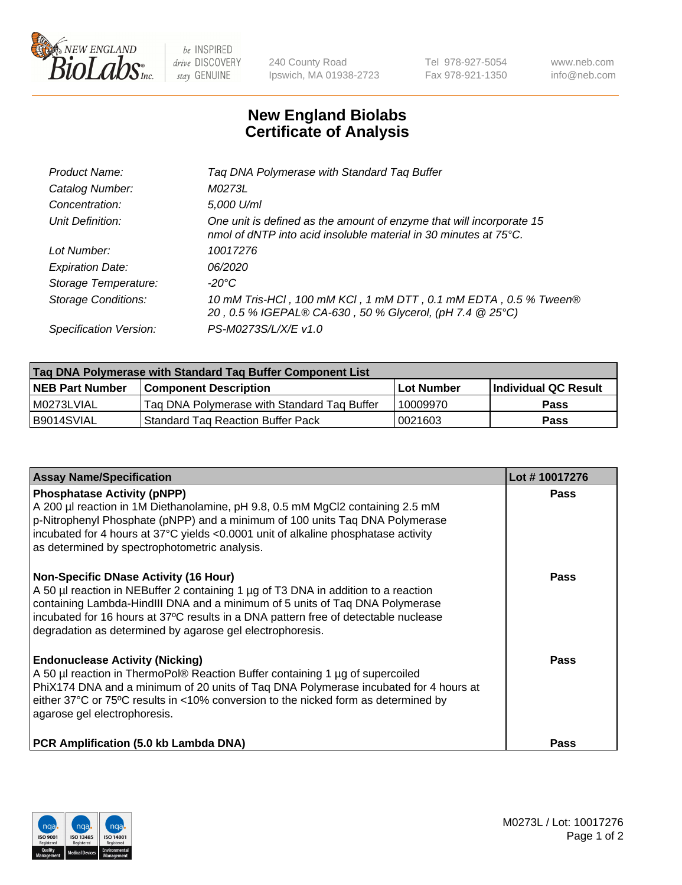

 $be$  INSPIRED drive DISCOVERY stay GENUINE

240 County Road Ipswich, MA 01938-2723 Tel 978-927-5054 Fax 978-921-1350 www.neb.com info@neb.com

## **New England Biolabs Certificate of Analysis**

| Tag DNA Polymerase with Standard Tag Buffer                                                                                              |
|------------------------------------------------------------------------------------------------------------------------------------------|
| M0273L                                                                                                                                   |
| 5,000 U/ml                                                                                                                               |
| One unit is defined as the amount of enzyme that will incorporate 15<br>nmol of dNTP into acid insoluble material in 30 minutes at 75°C. |
| 10017276                                                                                                                                 |
| 06/2020                                                                                                                                  |
| $-20^{\circ}$ C                                                                                                                          |
| 10 mM Tris-HCl, 100 mM KCl, 1 mM DTT, 0.1 mM EDTA, 0.5 % Tween®<br>20, 0.5 % IGEPAL® CA-630, 50 % Glycerol, (pH 7.4 @ 25°C)              |
| PS-M0273S/L/X/E v1.0                                                                                                                     |
|                                                                                                                                          |

| Tag DNA Polymerase with Standard Tag Buffer Component List |                                             |                   |                      |  |  |
|------------------------------------------------------------|---------------------------------------------|-------------------|----------------------|--|--|
| <b>NEB Part Number</b>                                     | Component Description_                      | <b>Lot Number</b> | Individual QC Result |  |  |
| M0273LVIAL                                                 | Tag DNA Polymerase with Standard Tag Buffer | 10009970          | Pass                 |  |  |
| B9014SVIAL                                                 | <b>Standard Tag Reaction Buffer Pack</b>    | 0021603           | <b>Pass</b>          |  |  |

| <b>Assay Name/Specification</b>                                                                                                                                                                                                                                                                                                                                        | Lot #10017276 |
|------------------------------------------------------------------------------------------------------------------------------------------------------------------------------------------------------------------------------------------------------------------------------------------------------------------------------------------------------------------------|---------------|
| <b>Phosphatase Activity (pNPP)</b><br>A 200 µl reaction in 1M Diethanolamine, pH 9.8, 0.5 mM MgCl2 containing 2.5 mM<br>p-Nitrophenyl Phosphate (pNPP) and a minimum of 100 units Taq DNA Polymerase<br>incubated for 4 hours at 37°C yields <0.0001 unit of alkaline phosphatase activity<br>as determined by spectrophotometric analysis.                            | <b>Pass</b>   |
| <b>Non-Specific DNase Activity (16 Hour)</b><br>A 50 µl reaction in NEBuffer 2 containing 1 µg of T3 DNA in addition to a reaction<br>containing Lambda-HindIII DNA and a minimum of 5 units of Taq DNA Polymerase<br>incubated for 16 hours at 37°C results in a DNA pattern free of detectable nuclease<br>degradation as determined by agarose gel electrophoresis. | Pass          |
| <b>Endonuclease Activity (Nicking)</b><br>A 50 µl reaction in ThermoPol® Reaction Buffer containing 1 µg of supercoiled<br>PhiX174 DNA and a minimum of 20 units of Tag DNA Polymerase incubated for 4 hours at<br>either 37°C or 75°C results in <10% conversion to the nicked form as determined by<br>agarose gel electrophoresis.                                  | Pass          |
| <b>PCR Amplification (5.0 kb Lambda DNA)</b>                                                                                                                                                                                                                                                                                                                           | <b>Pass</b>   |